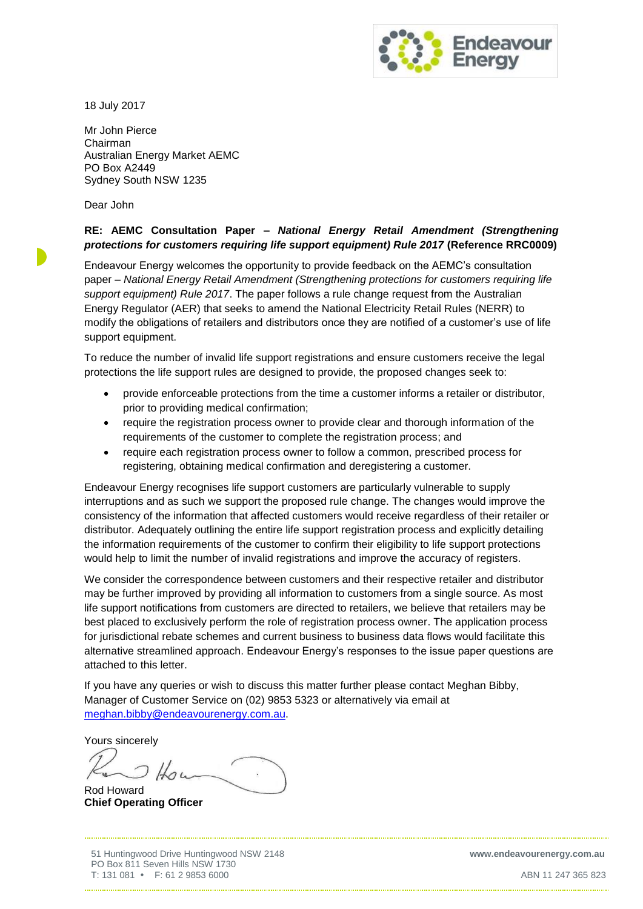

18 July 2017

Mr John Pierce Chairman Australian Energy Market AEMC PO Box A2449 Sydney South NSW 1235

Dear John

# **RE: AEMC Consultation Paper –** *National Energy Retail Amendment (Strengthening protections for customers requiring life support equipment) Rule 2017* **(Reference RRC0009)**

Endeavour Energy welcomes the opportunity to provide feedback on the AEMC's consultation paper – *National Energy Retail Amendment (Strengthening protections for customers requiring life support equipment) Rule 2017*. The paper follows a rule change request from the Australian Energy Regulator (AER) that seeks to amend the National Electricity Retail Rules (NERR) to modify the obligations of retailers and distributors once they are notified of a customer's use of life support equipment.

To reduce the number of invalid life support registrations and ensure customers receive the legal protections the life support rules are designed to provide, the proposed changes seek to:

- provide enforceable protections from the time a customer informs a retailer or distributor, prior to providing medical confirmation;
- require the registration process owner to provide clear and thorough information of the requirements of the customer to complete the registration process; and
- require each registration process owner to follow a common, prescribed process for registering, obtaining medical confirmation and deregistering a customer.

Endeavour Energy recognises life support customers are particularly vulnerable to supply interruptions and as such we support the proposed rule change. The changes would improve the consistency of the information that affected customers would receive regardless of their retailer or distributor. Adequately outlining the entire life support registration process and explicitly detailing the information requirements of the customer to confirm their eligibility to life support protections would help to limit the number of invalid registrations and improve the accuracy of registers.

We consider the correspondence between customers and their respective retailer and distributor may be further improved by providing all information to customers from a single source. As most life support notifications from customers are directed to retailers, we believe that retailers may be best placed to exclusively perform the role of registration process owner. The application process for jurisdictional rebate schemes and current business to business data flows would facilitate this alternative streamlined approach. Endeavour Energy's responses to the issue paper questions are attached to this letter.

If you have any queries or wish to discuss this matter further please contact Meghan Bibby, Manager of Customer Service on (02) 9853 5323 or alternatively via email at [meghan.bibby@endeavourenergy.com.au.](mailto:meghan.bibby@endeavourenergy.com.au)

Yours sincerely

Rod Howard **Chief Operating Officer**

51 Huntingwood Drive Huntingwood NSW 2148 **www.endeavourenergy.com.au**  PO Box 811 Seven Hills NSW 1730 T: 131 081 F: 61 2 9853 6000 ABN 11 247 365 823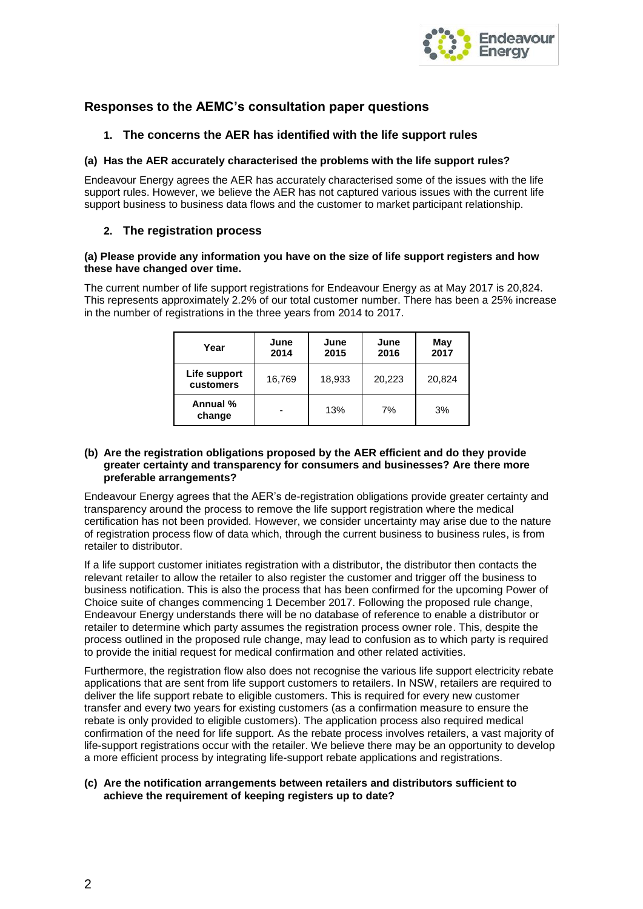

# **Responses to the AEMC's consultation paper questions**

## **1. The concerns the AER has identified with the life support rules**

## **(a) Has the AER accurately characterised the problems with the life support rules?**

Endeavour Energy agrees the AER has accurately characterised some of the issues with the life support rules. However, we believe the AER has not captured various issues with the current life support business to business data flows and the customer to market participant relationship.

## **2. The registration process**

### **(a) Please provide any information you have on the size of life support registers and how these have changed over time.**

The current number of life support registrations for Endeavour Energy as at May 2017 is 20,824. This represents approximately 2.2% of our total customer number. There has been a 25% increase in the number of registrations in the three years from 2014 to 2017.

| Year                      | June<br>2014 | June<br>2015 | June<br>2016 | May<br>2017 |
|---------------------------|--------------|--------------|--------------|-------------|
| Life support<br>customers | 16,769       | 18,933       | 20,223       | 20,824      |
| Annual %<br>change        |              | 13%          | 7%           | 3%          |

### **(b) Are the registration obligations proposed by the AER efficient and do they provide greater certainty and transparency for consumers and businesses? Are there more preferable arrangements?**

Endeavour Energy agrees that the AER's de-registration obligations provide greater certainty and transparency around the process to remove the life support registration where the medical certification has not been provided. However, we consider uncertainty may arise due to the nature of registration process flow of data which, through the current business to business rules, is from retailer to distributor.

If a life support customer initiates registration with a distributor, the distributor then contacts the relevant retailer to allow the retailer to also register the customer and trigger off the business to business notification. This is also the process that has been confirmed for the upcoming Power of Choice suite of changes commencing 1 December 2017. Following the proposed rule change, Endeavour Energy understands there will be no database of reference to enable a distributor or retailer to determine which party assumes the registration process owner role. This, despite the process outlined in the proposed rule change, may lead to confusion as to which party is required to provide the initial request for medical confirmation and other related activities.

Furthermore, the registration flow also does not recognise the various life support electricity rebate applications that are sent from life support customers to retailers. In NSW, retailers are required to deliver the life support rebate to eligible customers. This is required for every new customer transfer and every two years for existing customers (as a confirmation measure to ensure the rebate is only provided to eligible customers). The application process also required medical confirmation of the need for life support. As the rebate process involves retailers, a vast majority of life-support registrations occur with the retailer. We believe there may be an opportunity to develop a more efficient process by integrating life-support rebate applications and registrations.

## **(c) Are the notification arrangements between retailers and distributors sufficient to achieve the requirement of keeping registers up to date?**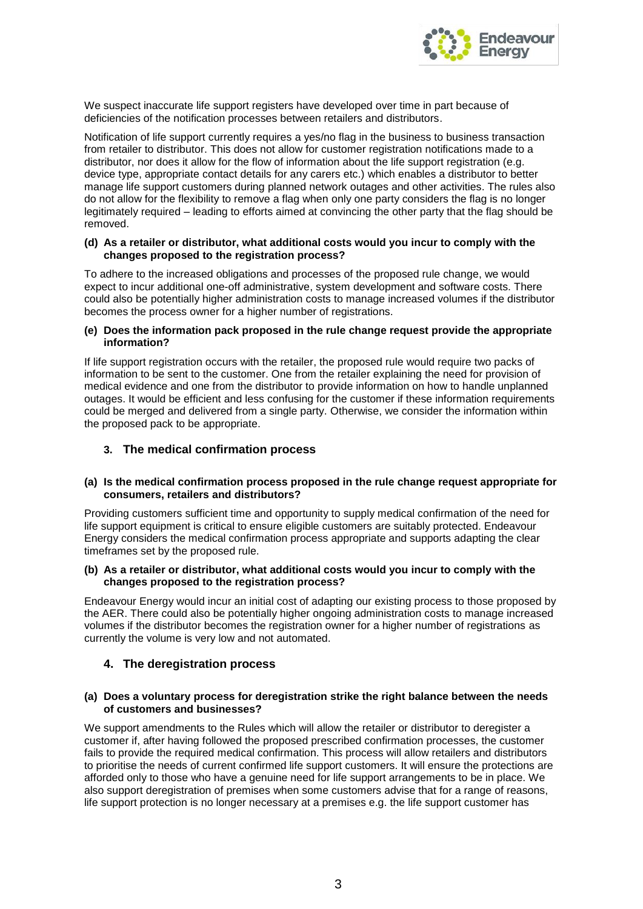

We suspect inaccurate life support registers have developed over time in part because of deficiencies of the notification processes between retailers and distributors.

Notification of life support currently requires a yes/no flag in the business to business transaction from retailer to distributor. This does not allow for customer registration notifications made to a distributor, nor does it allow for the flow of information about the life support registration (e.g. device type, appropriate contact details for any carers etc.) which enables a distributor to better manage life support customers during planned network outages and other activities. The rules also do not allow for the flexibility to remove a flag when only one party considers the flag is no longer legitimately required – leading to efforts aimed at convincing the other party that the flag should be removed.

### **(d) As a retailer or distributor, what additional costs would you incur to comply with the changes proposed to the registration process?**

To adhere to the increased obligations and processes of the proposed rule change, we would expect to incur additional one-off administrative, system development and software costs. There could also be potentially higher administration costs to manage increased volumes if the distributor becomes the process owner for a higher number of registrations.

### **(e) Does the information pack proposed in the rule change request provide the appropriate information?**

If life support registration occurs with the retailer, the proposed rule would require two packs of information to be sent to the customer. One from the retailer explaining the need for provision of medical evidence and one from the distributor to provide information on how to handle unplanned outages. It would be efficient and less confusing for the customer if these information requirements could be merged and delivered from a single party. Otherwise, we consider the information within the proposed pack to be appropriate.

# **3. The medical confirmation process**

## **(a) Is the medical confirmation process proposed in the rule change request appropriate for consumers, retailers and distributors?**

Providing customers sufficient time and opportunity to supply medical confirmation of the need for life support equipment is critical to ensure eligible customers are suitably protected. Endeavour Energy considers the medical confirmation process appropriate and supports adapting the clear timeframes set by the proposed rule.

## **(b) As a retailer or distributor, what additional costs would you incur to comply with the changes proposed to the registration process?**

Endeavour Energy would incur an initial cost of adapting our existing process to those proposed by the AER. There could also be potentially higher ongoing administration costs to manage increased volumes if the distributor becomes the registration owner for a higher number of registrations as currently the volume is very low and not automated.

# **4. The deregistration process**

## **(a) Does a voluntary process for deregistration strike the right balance between the needs of customers and businesses?**

We support amendments to the Rules which will allow the retailer or distributor to deregister a customer if, after having followed the proposed prescribed confirmation processes, the customer fails to provide the required medical confirmation. This process will allow retailers and distributors to prioritise the needs of current confirmed life support customers. It will ensure the protections are afforded only to those who have a genuine need for life support arrangements to be in place. We also support deregistration of premises when some customers advise that for a range of reasons, life support protection is no longer necessary at a premises e.g. the life support customer has